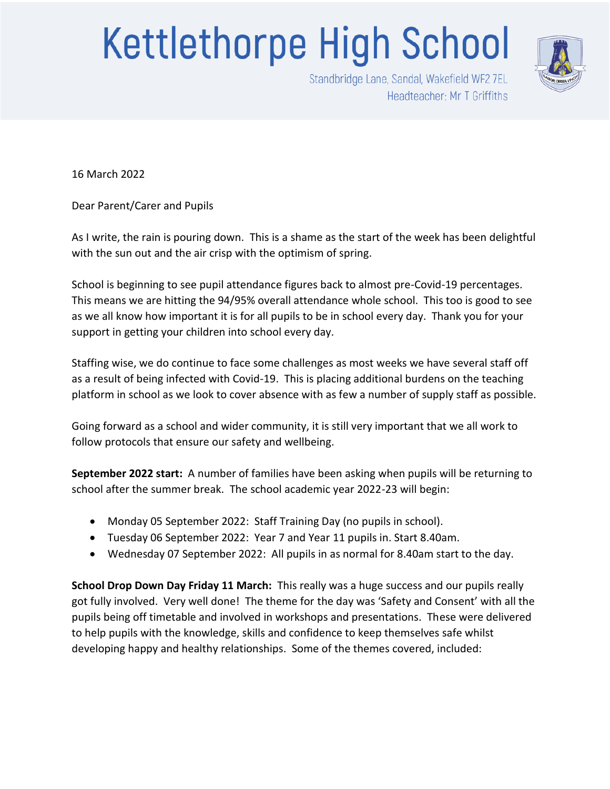## **Kettlethorpe High School**



Standbridge Lane, Sandal, Wakefield WF2 7EL Headteacher: Mr T Griffiths

16 March 2022

Dear Parent/Carer and Pupils

As I write, the rain is pouring down. This is a shame as the start of the week has been delightful with the sun out and the air crisp with the optimism of spring.

School is beginning to see pupil attendance figures back to almost pre-Covid-19 percentages. This means we are hitting the 94/95% overall attendance whole school. This too is good to see as we all know how important it is for all pupils to be in school every day. Thank you for your support in getting your children into school every day.

Staffing wise, we do continue to face some challenges as most weeks we have several staff off as a result of being infected with Covid-19. This is placing additional burdens on the teaching platform in school as we look to cover absence with as few a number of supply staff as possible.

Going forward as a school and wider community, it is still very important that we all work to follow protocols that ensure our safety and wellbeing.

**September 2022 start:** A number of families have been asking when pupils will be returning to school after the summer break. The school academic year 2022-23 will begin:

- Monday 05 September 2022: Staff Training Day (no pupils in school).
- Tuesday 06 September 2022: Year 7 and Year 11 pupils in. Start 8.40am.
- Wednesday 07 September 2022: All pupils in as normal for 8.40am start to the day.

**School Drop Down Day Friday 11 March:** This really was a huge success and our pupils really got fully involved. Very well done! The theme for the day was 'Safety and Consent' with all the pupils being off timetable and involved in workshops and presentations. These were delivered to help pupils with the knowledge, skills and confidence to keep themselves safe whilst developing happy and healthy relationships. Some of the themes covered, included: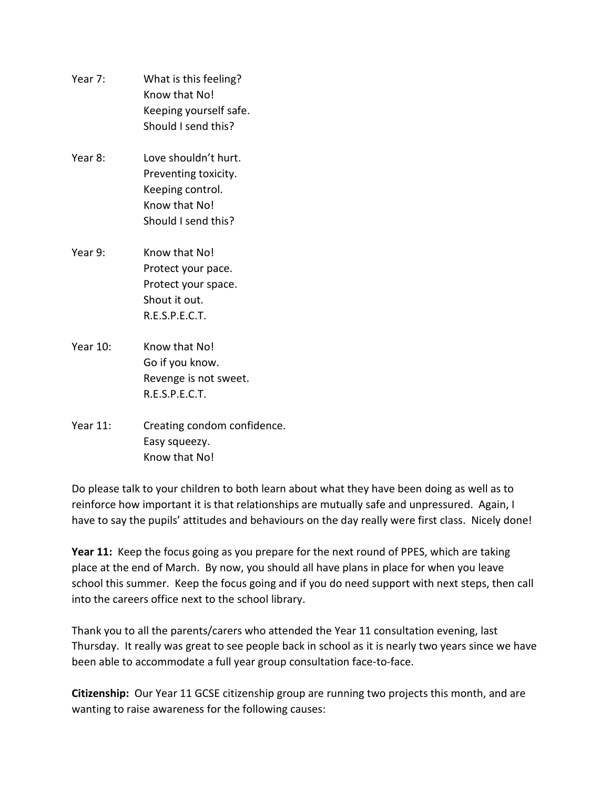- Year 7: What is this feeling? Know that No! Keeping yourself safe. Should I send this?
- Year 8: Love shouldn't hurt. Preventing toxicity. Keeping control. Know that No! Should I send this?
- Year 9: Know that No! Protect your pace. Protect your space. Shout it out. R.E.S.P.E.C.T.
- Year 10: Know that No! Go if you know. Revenge is not sweet. R.E.S.P.E.C.T.
- Year 11: Creating condom confidence. Easy squeezy. Know that No!

Do please talk to your children to both learn about what they have been doing as well as to reinforce how important it is that relationships are mutually safe and unpressured. Again, I have to say the pupils' attitudes and behaviours on the day really were first class. Nicely done!

**Year 11:** Keep the focus going as you prepare for the next round of PPES, which are taking place at the end of March. By now, you should all have plans in place for when you leave school this summer. Keep the focus going and if you do need support with next steps, then call into the careers office next to the school library.

Thank you to all the parents/carers who attended the Year 11 consultation evening, last Thursday. It really was great to see people back in school as it is nearly two years since we have been able to accommodate a full year group consultation face-to-face.

**Citizenship:** Our Year 11 GCSE citizenship group are running two projects this month, and are wanting to raise awareness for the following causes: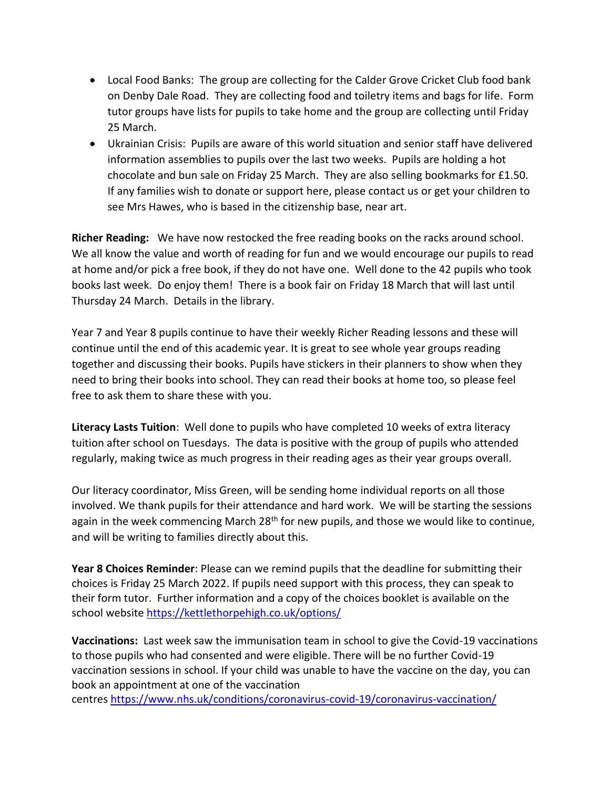- Local Food Banks: The group are collecting for the Calder Grove Cricket Club food bank on Denby Dale Road. They are collecting food and toiletry items and bags for life. Form tutor groups have lists for pupils to take home and the group are collecting until Friday 25 March.
- Ukrainian Crisis: Pupils are aware of this world situation and senior staff have delivered information assemblies to pupils over the last two weeks. Pupils are holding a hot chocolate and bun sale on Friday 25 March. They are also selling bookmarks for £1.50. If any families wish to donate or support here, please contact us or get your children to see Mrs Hawes, who is based in the citizenship base, near art.

**Richer Reading:** We have now restocked the free reading books on the racks around school. We all know the value and worth of reading for fun and we would encourage our pupils to read at home and/or pick a free book, if they do not have one. Well done to the 42 pupils who took books last week. Do enjoy them! There is a book fair on Friday 18 March that will last until Thursday 24 March. Details in the library.

Year 7 and Year 8 pupils continue to have their weekly Richer Reading lessons and these will continue until the end of this academic year. It is great to see whole year groups reading together and discussing their books. Pupils have stickers in their planners to show when they need to bring their books into school. They can read their books at home too, so please feel free to ask them to share these with you.

**Literacy Lasts Tuition**: Well done to pupils who have completed 10 weeks of extra literacy tuition after school on Tuesdays. The data is positive with the group of pupils who attended regularly, making twice as much progress in their reading ages as their year groups overall.

Our literacy coordinator, Miss Green, will be sending home individual reports on all those involved. We thank pupils for their attendance and hard work. We will be starting the sessions again in the week commencing March  $28<sup>th</sup>$  for new pupils, and those we would like to continue, and will be writing to families directly about this.

**Year 8 Choices Reminder**: Please can we remind pupils that the deadline for submitting their choices is Friday 25 March 2022. If pupils need support with this process, they can speak to their form tutor. Further information and a copy of the choices booklet is available on the school website <https://kettlethorpehigh.co.uk/options/>

**Vaccinations:** Last week saw the immunisation team in school to give the Covid-19 vaccinations to those pupils who had consented and were eligible. There will be no further Covid-19 vaccination sessions in school. If your child was unable to have the vaccine on the day, you can book an appointment at one of the vaccination

centres <https://www.nhs.uk/conditions/coronavirus-covid-19/coronavirus-vaccination/>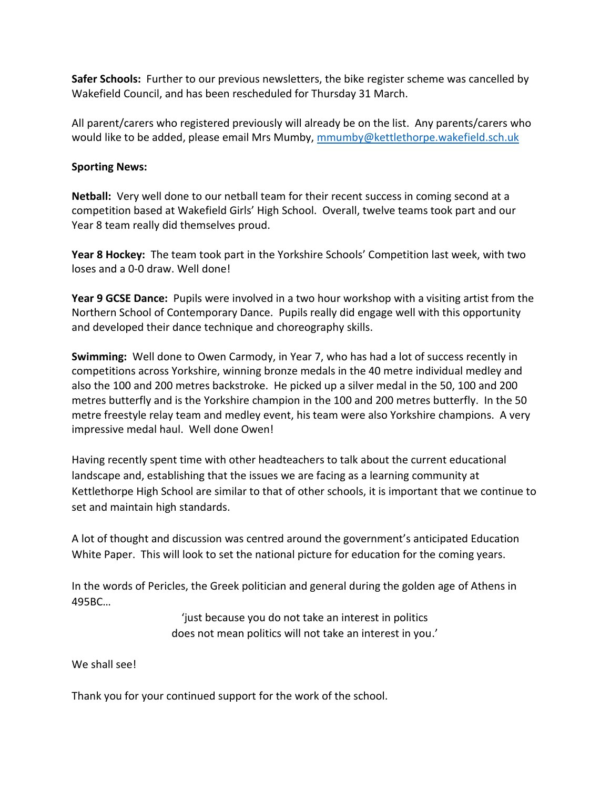**Safer Schools:** Further to our previous newsletters, the bike register scheme was cancelled by Wakefield Council, and has been rescheduled for Thursday 31 March.

All parent/carers who registered previously will already be on the list. Any parents/carers who would like to be added, please email Mrs Mumby, [mmumby@kettlethorpe.wakefield.sch.uk](mailto:mmumby@kettlethorpe.wakefield.sch.uk)

## **Sporting News:**

**Netball:** Very well done to our netball team for their recent success in coming second at a competition based at Wakefield Girls' High School. Overall, twelve teams took part and our Year 8 team really did themselves proud.

**Year 8 Hockey:** The team took part in the Yorkshire Schools' Competition last week, with two loses and a 0-0 draw. Well done!

**Year 9 GCSE Dance:** Pupils were involved in a two hour workshop with a visiting artist from the Northern School of Contemporary Dance. Pupils really did engage well with this opportunity and developed their dance technique and choreography skills.

**Swimming:** Well done to Owen Carmody, in Year 7, who has had a lot of success recently in competitions across Yorkshire, winning bronze medals in the 40 metre individual medley and also the 100 and 200 metres backstroke. He picked up a silver medal in the 50, 100 and 200 metres butterfly and is the Yorkshire champion in the 100 and 200 metres butterfly. In the 50 metre freestyle relay team and medley event, his team were also Yorkshire champions. A very impressive medal haul. Well done Owen!

Having recently spent time with other headteachers to talk about the current educational landscape and, establishing that the issues we are facing as a learning community at Kettlethorpe High School are similar to that of other schools, it is important that we continue to set and maintain high standards.

A lot of thought and discussion was centred around the government's anticipated Education White Paper. This will look to set the national picture for education for the coming years.

In the words of Pericles, the Greek politician and general during the golden age of Athens in 495BC…

> 'just because you do not take an interest in politics does not mean politics will not take an interest in you.'

We shall see!

Thank you for your continued support for the work of the school.